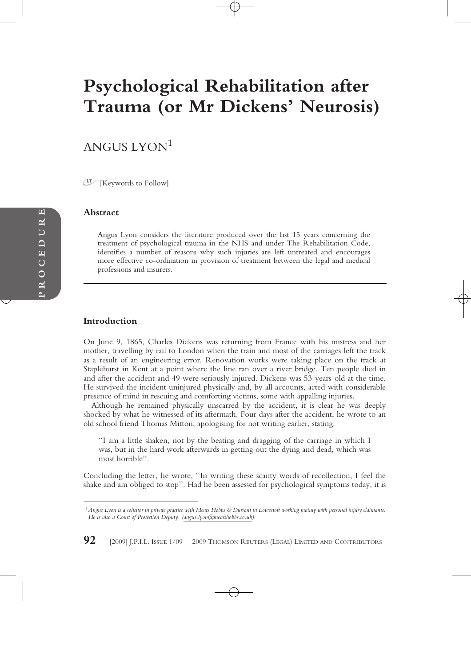# **Psychological Rehabilitation after Trauma (or Mr Dickens' Neurosis)**

# ANGUS LYON<sup>1</sup>

[Keywords to Follow]

#### **Abstract**

Angus Lyon considers the literature produced over the last 15 years concerning the treatment of psychological trauma in the NHS and under The Rehabilitation Code, identifies a number of reasons why such injuries are left untreated and encourages more effective co-ordination in provision of treatment between the legal and medical professions and insurers.

# **Introduction**

On June 9, 1865, Charles Dickens was returning from France with his mistress and her mother, travelling by rail to London when the train and most of the carriages left the track as a result of an engineering error. Renovation works were taking place on the track at Staplehurst in Kent at a point where the line ran over a river bridge. Ten people died in and after the accident and 49 were seriously injured. Dickens was 53-years-old at the time. He survived the incident uninjured physically and, by all accounts, acted with considerable presence of mind in rescuing and comforting victims, some with appalling injuries.

Although he remained physically unscarred by the accident, it is clear he was deeply shocked by what he witnessed of its aftermath. Four days after the accident, he wrote to an old school friend Thomas Mitton, apologising for not writing earlier, stating:

''I am a little shaken, not by the beating and dragging of the carriage in which I was, but in the hard work afterwards in getting out the dying and dead, which was most horrible''.

Concluding the letter, he wrote, ''In writing these scanty words of recollection, I feel the shake and am obliged to stop''. Had he been assessed for psychological symptoms today, it is

**92** [2009] J.P.I.L. ISSUE 1/09 © 2009 THOMSON REUTERS (LEGAL) LIMITED AND CONTRIBUTORS

<sup>1</sup>*Angus Lyon is a solicitor in private practice with Mears Hobbs & Durrant in Lowestoft working mainly with personal injury claimants. He is also a Court of Protection Deputy. (angus.lyon@mearshobbs.co.uk).*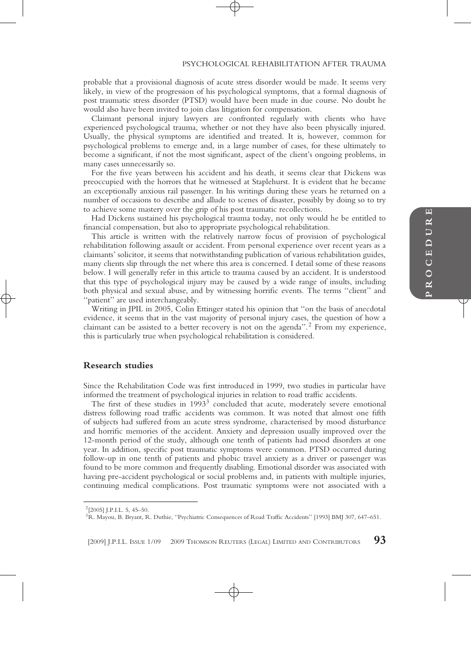#### PSYCHOLOGICAL REHABILITATION AFTER TRAUMA

probable that a provisional diagnosis of acute stress disorder would be made. It seems very likely, in view of the progression of his psychological symptoms, that a formal diagnosis of post traumatic stress disorder (PTSD) would have been made in due course. No doubt he would also have been invited to join class litigation for compensation.

Claimant personal injury lawyers are confronted regularly with clients who have experienced psychological trauma, whether or not they have also been physically injured. Usually, the physical symptoms are identified and treated. It is, however, common for psychological problems to emerge and, in a large number of cases, for these ultimately to become a significant, if not the most significant, aspect of the client's ongoing problems, in many cases unnecessarily so.

For the five years between his accident and his death, it seems clear that Dickens was preoccupied with the horrors that he witnessed at Staplehurst. It is evident that he became an exceptionally anxious rail passenger. In his writings during these years he returned on a number of occasions to describe and allude to scenes of disaster, possibly by doing so to try to achieve some mastery over the grip of his post traumatic recollections.

Had Dickens sustained his psychological trauma today, not only would he be entitled to financial compensation, but also to appropriate psychological rehabilitation.

This article is written with the relatively narrow focus of provision of psychological rehabilitation following assault or accident. From personal experience over recent years as a claimants' solicitor, it seems that notwithstanding publication of various rehabilitation guides, many clients slip through the net where this area is concerned. I detail some of these reasons below. I will generally refer in this article to trauma caused by an accident. It is understood that this type of psychological injury may be caused by a wide range of insults, including both physical and sexual abuse, and by witnessing horrific events. The terms ''client'' and ''patient'' are used interchangeably.

Writing in JPIL in 2005, Colin Ettinger stated his opinion that ''on the basis of anecdotal evidence, it seems that in the vast majority of personal injury cases, the question of how a claimant can be assisted to a better recovery is not on the agenda''.<sup>2</sup> From my experience, this is particularly true when psychological rehabilitation is considered.

# **Research studies**

Since the Rehabilitation Code was first introduced in 1999, two studies in particular have informed the treatment of psychological injuries in relation to road traffic accidents.

The first of these studies in  $1993<sup>3</sup>$  concluded that acute, moderately severe emotional distress following road traffic accidents was common. It was noted that almost one fifth of subjects had suffered from an acute stress syndrome, characterised by mood disturbance and horrific memories of the accident. Anxiety and depression usually improved over the 12-month period of the study, although one tenth of patients had mood disorders at one year. In addition, specific post traumatic symptoms were common. PTSD occurred during follow-up in one tenth of patients and phobic travel anxiety as a driver or passenger was found to be more common and frequently disabling. Emotional disorder was associated with having pre-accident psychological or social problems and, in patients with multiple injuries, continuing medical complications. Post traumatic symptoms were not associated with a

 $2$ [2005] J.P.L.L. 5, 45–50.

<sup>3</sup>R. Mayou, B. Bryant, R. Duthie, ''Psychiatric Consequences of Road Traffic Accidents'' [1993] BMJ 307, 647–651.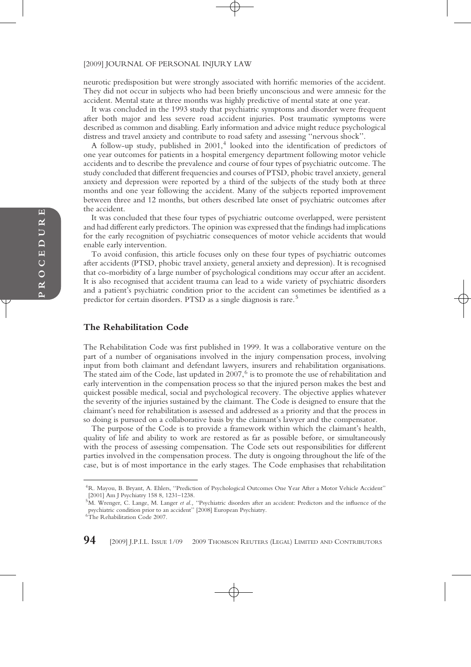neurotic predisposition but were strongly associated with horrific memories of the accident. They did not occur in subjects who had been briefly unconscious and were amnesic for the accident. Mental state at three months was highly predictive of mental state at one year.

It was concluded in the 1993 study that psychiatric symptoms and disorder were frequent after both major and less severe road accident injuries. Post traumatic symptoms were described as common and disabling. Early information and advice might reduce psychological distress and travel anxiety and contribute to road safety and assessing ''nervous shock''.

A follow-up study, published in  $2001<sup>4</sup>$  looked into the identification of predictors of one year outcomes for patients in a hospital emergency department following motor vehicle accidents and to describe the prevalence and course of four types of psychiatric outcome. The study concluded that different frequencies and courses of PTSD, phobic travel anxiety, general anxiety and depression were reported by a third of the subjects of the study both at three months and one year following the accident. Many of the subjects reported improvement between three and 12 months, but others described late onset of psychiatric outcomes after the accident.

It was concluded that these four types of psychiatric outcome overlapped, were persistent and had different early predictors. The opinion was expressed that the findings had implications for the early recognition of psychiatric consequences of motor vehicle accidents that would enable early intervention.

To avoid confusion, this article focuses only on these four types of psychiatric outcomes after accidents (PTSD, phobic travel anxiety, general anxiety and depression). It is recognised that co-morbidity of a large number of psychological conditions may occur after an accident. It is also recognised that accident trauma can lead to a wide variety of psychiatric disorders and a patient's psychiatric condition prior to the accident can sometimes be identified as a predictor for certain disorders. PTSD as a single diagnosis is rare.<sup>5</sup>

#### **The Rehabilitation Code**

The Rehabilitation Code was first published in 1999. It was a collaborative venture on the part of a number of organisations involved in the injury compensation process, involving input from both claimant and defendant lawyers, insurers and rehabilitation organisations. The stated aim of the Code, last updated in  $2007$ ,  $6$  is to promote the use of rehabilitation and early intervention in the compensation process so that the injured person makes the best and quickest possible medical, social and psychological recovery. The objective applies whatever the severity of the injuries sustained by the claimant. The Code is designed to ensure that the claimant's need for rehabilitation is assessed and addressed as a priority and that the process in so doing is pursued on a collaborative basis by the claimant's lawyer and the compensator.

The purpose of the Code is to provide a framework within which the claimant's health, quality of life and ability to work are restored as far as possible before, or simultaneously with the process of assessing compensation. The Code sets out responsibilities for different parties involved in the compensation process. The duty is ongoing throughout the life of the case, but is of most importance in the early stages. The Code emphasises that rehabilitation

**94** [2009] J.P.I.L. ISSUE 1/09 © 2009 THOMSON REUTERS (LEGAL) LIMITED AND CONTRIBUTORS

<sup>4</sup>R. Mayou, B. Bryant, A. Ehlers, ''Prediction of Psychological Outcomes One Year After a Motor Vehicle Accident'' [2001] Am J Psychiatry 158 8, 1231–1238.

<sup>5</sup>M. Wrenger, C. Lange, M. Langer *et al.,* ''Psychiatric disorders after an accident: Predictors and the influence of the psychiatric condition prior to an accident'' [2008] European Psychiatry.

<sup>6</sup>The Rehabilitation Code 2007.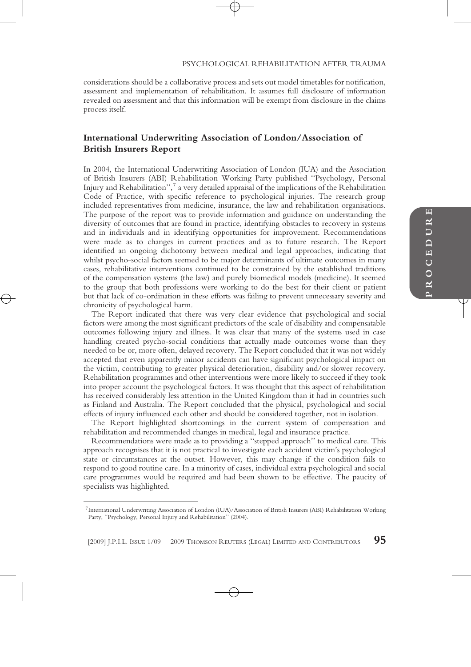#### PSYCHOLOGICAL REHABILITATION AFTER TRAUMA

considerations should be a collaborative process and sets out model timetables for notification, assessment and implementation of rehabilitation. It assumes full disclosure of information revealed on assessment and that this information will be exempt from disclosure in the claims process itself.

# **International Underwriting Association of London/Association of British Insurers Report**

In 2004, the International Underwriting Association of London (IUA) and the Association of British Insurers (ABI) Rehabilitation Working Party published ''Psychology, Personal Injury and Rehabilitation'', $^7$  a very detailed appraisal of the implications of the Rehabilitation Code of Practice, with specific reference to psychological injuries. The research group included representatives from medicine, insurance, the law and rehabilitation organisations. The purpose of the report was to provide information and guidance on understanding the diversity of outcomes that are found in practice, identifying obstacles to recovery in systems and in individuals and in identifying opportunities for improvement. Recommendations were made as to changes in current practices and as to future research. The Report identified an ongoing dichotomy between medical and legal approaches, indicating that whilst psycho-social factors seemed to be major determinants of ultimate outcomes in many cases, rehabilitative interventions continued to be constrained by the established traditions of the compensation systems (the law) and purely biomedical models (medicine). It seemed to the group that both professions were working to do the best for their client or patient but that lack of co-ordination in these efforts was failing to prevent unnecessary severity and chronicity of psychological harm.

The Report indicated that there was very clear evidence that psychological and social factors were among the most significant predictors of the scale of disability and compensatable outcomes following injury and illness. It was clear that many of the systems used in case handling created psycho-social conditions that actually made outcomes worse than they needed to be or, more often, delayed recovery. The Report concluded that it was not widely accepted that even apparently minor accidents can have significant psychological impact on the victim, contributing to greater physical deterioration, disability and/or slower recovery. Rehabilitation programmes and other interventions were more likely to succeed if they took into proper account the psychological factors. It was thought that this aspect of rehabilitation has received considerably less attention in the United Kingdom than it had in countries such as Finland and Australia. The Report concluded that the physical, psychological and social effects of injury influenced each other and should be considered together, not in isolation.

The Report highlighted shortcomings in the current system of compensation and rehabilitation and recommended changes in medical, legal and insurance practice.

Recommendations were made as to providing a ''stepped approach'' to medical care. This approach recognises that it is not practical to investigate each accident victim's psychological state or circumstances at the outset. However, this may change if the condition fails to respond to good routine care. In a minority of cases, individual extra psychological and social care programmes would be required and had been shown to be effective. The paucity of specialists was highlighted.

[2009] J.P.I.L. ISSUE 1/09 2009 THOMSON REUTERS (LEGAL) LIMITED AND CONTRIBUTORS **95**

<sup>7</sup>International Underwriting Association of London (IUA)/Association of British Insurers (ABI) Rehabilitation Working Party, ''Psychology, Personal Injury and Rehabilitation'' (2004).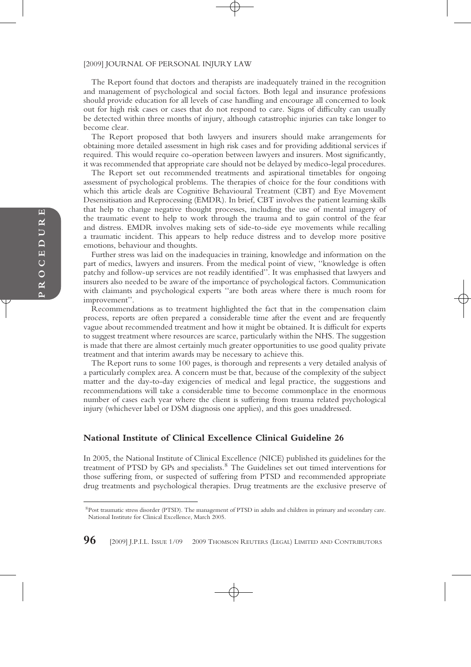The Report found that doctors and therapists are inadequately trained in the recognition and management of psychological and social factors. Both legal and insurance professions should provide education for all levels of case handling and encourage all concerned to look out for high risk cases or cases that do not respond to care. Signs of difficulty can usually be detected within three months of injury, although catastrophic injuries can take longer to become clear.

The Report proposed that both lawyers and insurers should make arrangements for obtaining more detailed assessment in high risk cases and for providing additional services if required. This would require co-operation between lawyers and insurers. Most significantly, it was recommended that appropriate care should not be delayed by medico-legal procedures.

The Report set out recommended treatments and aspirational timetables for ongoing assessment of psychological problems. The therapies of choice for the four conditions with which this article deals are Cognitive Behavioural Treatment (CBT) and Eye Movement Desensitisation and Reprocessing (EMDR). In brief, CBT involves the patient learning skills that help to change negative thought processes, including the use of mental imagery of the traumatic event to help to work through the trauma and to gain control of the fear and distress. EMDR involves making sets of side-to-side eye movements while recalling a traumatic incident. This appears to help reduce distress and to develop more positive emotions, behaviour and thoughts.

Further stress was laid on the inadequacies in training, knowledge and information on the part of medics, lawyers and insurers. From the medical point of view, ''knowledge is often patchy and follow-up services are not readily identified''. It was emphasised that lawyers and insurers also needed to be aware of the importance of psychological factors. Communication with claimants and psychological experts ''are both areas where there is much room for improvement''.

Recommendations as to treatment highlighted the fact that in the compensation claim process, reports are often prepared a considerable time after the event and are frequently vague about recommended treatment and how it might be obtained. It is difficult for experts to suggest treatment where resources are scarce, particularly within the NHS. The suggestion is made that there are almost certainly much greater opportunities to use good quality private treatment and that interim awards may be necessary to achieve this.

The Report runs to some 100 pages, is thorough and represents a very detailed analysis of a particularly complex area. A concern must be that, because of the complexity of the subject matter and the day-to-day exigencies of medical and legal practice, the suggestions and recommendations will take a considerable time to become commonplace in the enormous number of cases each year where the client is suffering from trauma related psychological injury (whichever label or DSM diagnosis one applies), and this goes unaddressed.

# **National Institute of Clinical Excellence Clinical Guideline 26**

In 2005, the National Institute of Clinical Excellence (NICE) published its guidelines for the treatment of PTSD by GPs and specialists.<sup>8</sup> The Guidelines set out timed interventions for those suffering from, or suspected of suffering from PTSD and recommended appropriate drug treatments and psychological therapies. Drug treatments are the exclusive preserve of

<sup>8</sup>Post traumatic stress disorder (PTSD). The management of PTSD in adults and children in primary and secondary care. National Institute for Clinical Excellence, March 2005.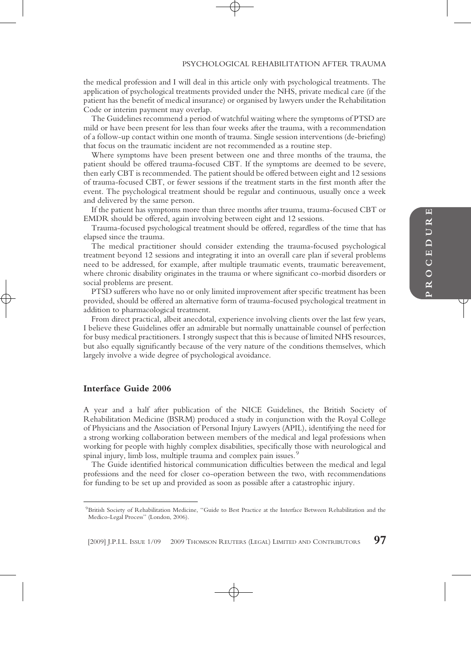#### PSYCHOLOGICAL REHABILITATION AFTER TRAUMA

the medical profession and I will deal in this article only with psychological treatments. The application of psychological treatments provided under the NHS, private medical care (if the patient has the benefit of medical insurance) or organised by lawyers under the Rehabilitation Code or interim payment may overlap.

The Guidelines recommend a period of watchful waiting where the symptoms of PTSD are mild or have been present for less than four weeks after the trauma, with a recommendation of a follow-up contact within one month of trauma. Single session interventions (de-briefing) that focus on the traumatic incident are not recommended as a routine step.

Where symptoms have been present between one and three months of the trauma, the patient should be offered trauma-focused CBT. If the symptoms are deemed to be severe, then early CBT is recommended. The patient should be offered between eight and 12 sessions of trauma-focused CBT, or fewer sessions if the treatment starts in the first month after the event. The psychological treatment should be regular and continuous, usually once a week and delivered by the same person.

If the patient has symptoms more than three months after trauma, trauma-focused CBT or EMDR should be offered, again involving between eight and 12 sessions.

Trauma-focused psychological treatment should be offered, regardless of the time that has elapsed since the trauma.

The medical practitioner should consider extending the trauma-focused psychological treatment beyond 12 sessions and integrating it into an overall care plan if several problems need to be addressed, for example, after multiple traumatic events, traumatic bereavement, where chronic disability originates in the trauma or where significant co-morbid disorders or social problems are present.

PTSD sufferers who have no or only limited improvement after specific treatment has been provided, should be offered an alternative form of trauma-focused psychological treatment in addition to pharmacological treatment.

From direct practical, albeit anecdotal, experience involving clients over the last few years, I believe these Guidelines offer an admirable but normally unattainable counsel of perfection for busy medical practitioners. I strongly suspect that this is because of limited NHS resources, but also equally significantly because of the very nature of the conditions themselves, which largely involve a wide degree of psychological avoidance.

# **Interface Guide 2006**

A year and a half after publication of the NICE Guidelines, the British Society of Rehabilitation Medicine (BSRM) produced a study in conjunction with the Royal College of Physicians and the Association of Personal Injury Lawyers (APIL), identifying the need for a strong working collaboration between members of the medical and legal professions when working for people with highly complex disabilities, specifically those with neurological and spinal injury, limb loss, multiple trauma and complex pain issues.<sup>9</sup>

The Guide identified historical communication difficulties between the medical and legal professions and the need for closer co-operation between the two, with recommendations for funding to be set up and provided as soon as possible after a catastrophic injury.

<sup>9</sup>British Society of Rehabilitation Medicine, ''Guide to Best Practice at the Interface Between Rehabilitation and the Medico-Legal Process'' (London, 2006).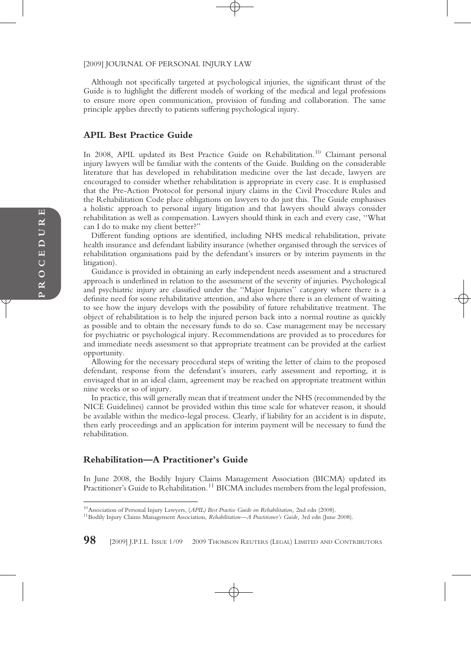Although not specifically targeted at psychological injuries, the significant thrust of the Guide is to highlight the different models of working of the medical and legal professions to ensure more open communication, provision of funding and collaboration. The same principle applies directly to patients suffering psychological injury.

# **APIL Best Practice Guide**

In 2008, APIL updated its Best Practice Guide on Rehabilitation.<sup>10</sup> Claimant personal injury lawyers will be familiar with the contents of the Guide. Building on the considerable literature that has developed in rehabilitation medicine over the last decade, lawyers are encouraged to consider whether rehabilitation is appropriate in every case. It is emphasised that the Pre-Action Protocol for personal injury claims in the Civil Procedure Rules and the Rehabilitation Code place obligations on lawyers to do just this. The Guide emphasises a holistic approach to personal injury litigation and that lawyers should always consider rehabilitation as well as compensation. Lawyers should think in each and every case, ''What can I do to make my client better?''

Different funding options are identified, including NHS medical rehabilitation, private health insurance and defendant liability insurance (whether organised through the services of rehabilitation organisations paid by the defendant's insurers or by interim payments in the litigation).

Guidance is provided in obtaining an early independent needs assessment and a structured approach is underlined in relation to the assessment of the severity of injuries. Psychological and psychiatric injury are classified under the ''Major Injuries'' category where there is a definite need for some rehabilitative attention, and also where there is an element of waiting to see how the injury develops with the possibility of future rehabilitative treatment. The object of rehabilitation is to help the injured person back into a normal routine as quickly as possible and to obtain the necessary funds to do so. Case management may be necessary for psychiatric or psychological injury. Recommendations are provided as to procedures for and immediate needs assessment so that appropriate treatment can be provided at the earliest opportunity.

Allowing for the necessary procedural steps of writing the letter of claim to the proposed defendant, response from the defendant's insurers, early assessment and reporting, it is envisaged that in an ideal claim, agreement may be reached on appropriate treatment within nine weeks or so of injury.

In practice, this will generally mean that if treatment under the NHS (recommended by the NICE Guidelines) cannot be provided within this time scale for whatever reason, it should be available within the medico-legal process. Clearly, if liability for an accident is in dispute, then early proceedings and an application for interim payment will be necessary to fund the rehabilitation.

#### **Rehabilitation—A Practitioner's Guide**

In June 2008, the Bodily Injury Claims Management Association (BICMA) updated its Practitioner's Guide to Rehabilitation.<sup>11</sup> BICMA includes members from the legal profession,

**98** [2009] J.P.I.L. ISSUE 1/09 © 2009 THOMSON REUTERS (LEGAL) LIMITED AND CONTRIBUTORS

<sup>10</sup>Association of Personal Injury Lawyers, (*APIL) Best Practice Guide on Rehabilitation,* 2nd edn (2008).

<sup>11</sup>Bodily Injury Claims Management Association, *Rehabilitation—A Practitioner's Guide,* 3rd edn (June 2008).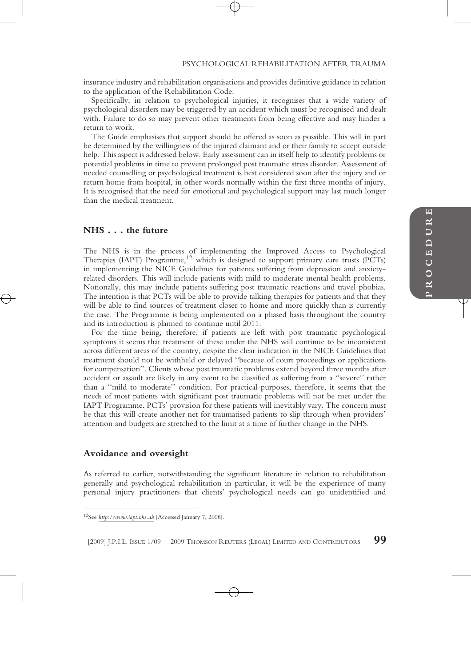insurance industry and rehabilitation organisations and provides definitive guidance in relation to the application of the Rehabilitation Code.

Specifically, in relation to psychological injuries, it recognises that a wide variety of psychological disorders may be triggered by an accident which must be recognised and dealt with. Failure to do so may prevent other treatments from being effective and may hinder a return to work.

The Guide emphasises that support should be offered as soon as possible. This will in part be determined by the willingness of the injured claimant and or their family to accept outside help. This aspect is addressed below. Early assessment can in itself help to identify problems or potential problems in time to prevent prolonged post traumatic stress disorder. Assessment of needed counselling or psychological treatment is best considered soon after the injury and or return home from hospital, in other words normally within the first three months of injury. It is recognised that the need for emotional and psychological support may last much longer than the medical treatment.

# **NHS** . . . **the future**

The NHS is in the process of implementing the Improved Access to Psychological Therapies (IAPT) Programme,<sup>12</sup> which is designed to support primary care trusts (PCTs) in implementing the NICE Guidelines for patients suffering from depression and anxietyrelated disorders. This will include patients with mild to moderate mental health problems. Notionally, this may include patients suffering post traumatic reactions and travel phobias. The intention is that PCTs will be able to provide talking therapies for patients and that they will be able to find sources of treatment closer to home and more quickly than is currently the case. The Programme is being implemented on a phased basis throughout the country and its introduction is planned to continue until 2011.

For the time being, therefore, if patients are left with post traumatic psychological symptoms it seems that treatment of these under the NHS will continue to be inconsistent across different areas of the country, despite the clear indication in the NICE Guidelines that treatment should not be withheld or delayed ''because of court proceedings or applications for compensation''. Clients whose post traumatic problems extend beyond three months after accident or assault are likely in any event to be classified as suffering from a ''severe'' rather than a ''mild to moderate'' condition. For practical purposes, therefore, it seems that the needs of most patients with significant post traumatic problems will not be met under the IAPT Programme. PCTs' provision for these patients will inevitably vary. The concern must be that this will create another net for traumatised patients to slip through when providers' attention and budgets are stretched to the limit at a time of further change in the NHS.

#### **Avoidance and oversight**

As referred to earlier, notwithstanding the significant literature in relation to rehabilitation generally and psychological rehabilitation in particular, it will be the experience of many personal injury practitioners that clients' psychological needs can go unidentified and

[2009] J.P.I.L. ISSUE 1/09 2009 THOMSON REUTERS (LEGAL) LIMITED AND CONTRIBUTORS **99**

<sup>12</sup>See *http://www.iapt.nhs.uk* [Accessed January 7, 2008].